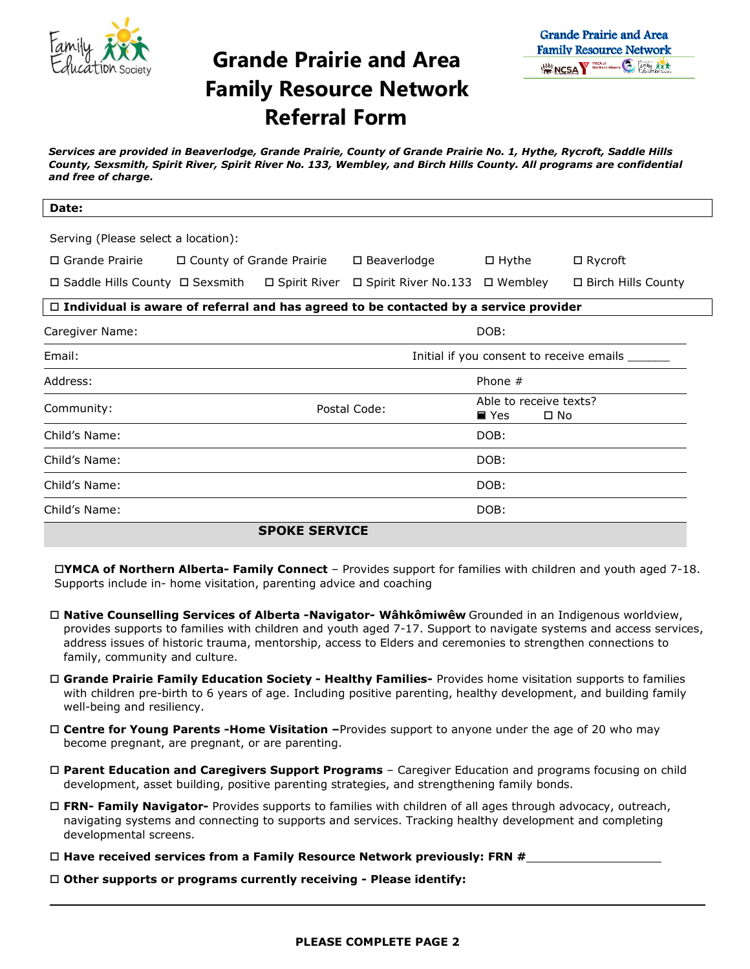

## **Grande Prairie and Area Family Resource Network Referral Form**



*Services are provided in Beaverlodge, Grande Prairie, County of Grande Prairie No. 1, Hythe, Rycroft, Saddle Hills County, Sexsmith, Spirit River, Spirit River No. 133, Wembley, and Birch Hills County. All programs are confidential and free of charge.* 

| Date:                               |                                                |                      |                                                                                             |                        |                      |
|-------------------------------------|------------------------------------------------|----------------------|---------------------------------------------------------------------------------------------|------------------------|----------------------|
|                                     |                                                |                      |                                                                                             |                        |                      |
| Serving (Please select a location): |                                                |                      |                                                                                             |                        |                      |
| $\Box$ Grande Prairie               | □ County of Grande Prairie                     |                      | $\square$ Beaverlodge                                                                       | $\square$ Hythe        | $\Box$ Rycroft       |
|                                     |                                                |                      | □ Saddle Hills County □ Sexsmith □ Spirit River □ Spirit River No.133 □ Wembley             |                        | □ Birch Hills County |
|                                     |                                                |                      | $\Box$ Individual is aware of referral and has agreed to be contacted by a service provider |                        |                      |
| Caregiver Name:                     | DOB:                                           |                      |                                                                                             |                        |                      |
| Email:                              | Initial if you consent to receive emails _____ |                      |                                                                                             |                        |                      |
| Address:                            |                                                |                      |                                                                                             | Phone $#$              |                      |
| Community:                          |                                                |                      | Postal Code:                                                                                | Able to receive texts? |                      |
|                                     |                                                |                      |                                                                                             | $\blacksquare$ Yes     | $\square$ No         |
| Child's Name:                       |                                                |                      |                                                                                             | DOB:                   |                      |
| Child's Name:                       |                                                |                      |                                                                                             | DOB:                   |                      |
| Child's Name:                       |                                                |                      |                                                                                             | DOB:                   |                      |
| Child's Name:                       |                                                |                      |                                                                                             | DOB:                   |                      |
|                                     |                                                | <b>SPOKE SERVICE</b> |                                                                                             |                        |                      |

**YMCA of Northern Alberta- Family Connect** – Provides support for families with children and youth aged 7-18. Supports include in- home visitation, parenting advice and coaching

- **Native Counselling Services of Alberta -Navigator- Wâhkômiwêw** Grounded in an Indigenous worldview, provides supports to families with children and youth aged 7-17. Support to navigate systems and access services, address issues of historic trauma, mentorship, access to Elders and ceremonies to strengthen connections to family, community and culture.
- **Grande Prairie Family Education Society Healthy Families-** Provides home visitation supports to families with children pre-birth to 6 years of age. Including positive parenting, healthy development, and building family well-being and resiliency.
- **Centre for Young Parents -Home Visitation –**Provides support to anyone under the age of 20 who may become pregnant, are pregnant, or are parenting.
- **Parent Education and Caregivers Support Programs**  Caregiver Education and programs focusing on child development, asset building, positive parenting strategies, and strengthening family bonds.
- **FRN- Family Navigator-** Provides supports to families with children of all ages through advocacy, outreach, navigating systems and connecting to supports and services. Tracking healthy development and completing developmental screens.
- **Have received services from a Family Resource Network previously: FRN #**
- **Other supports or programs currently receiving Please identify:**

l,